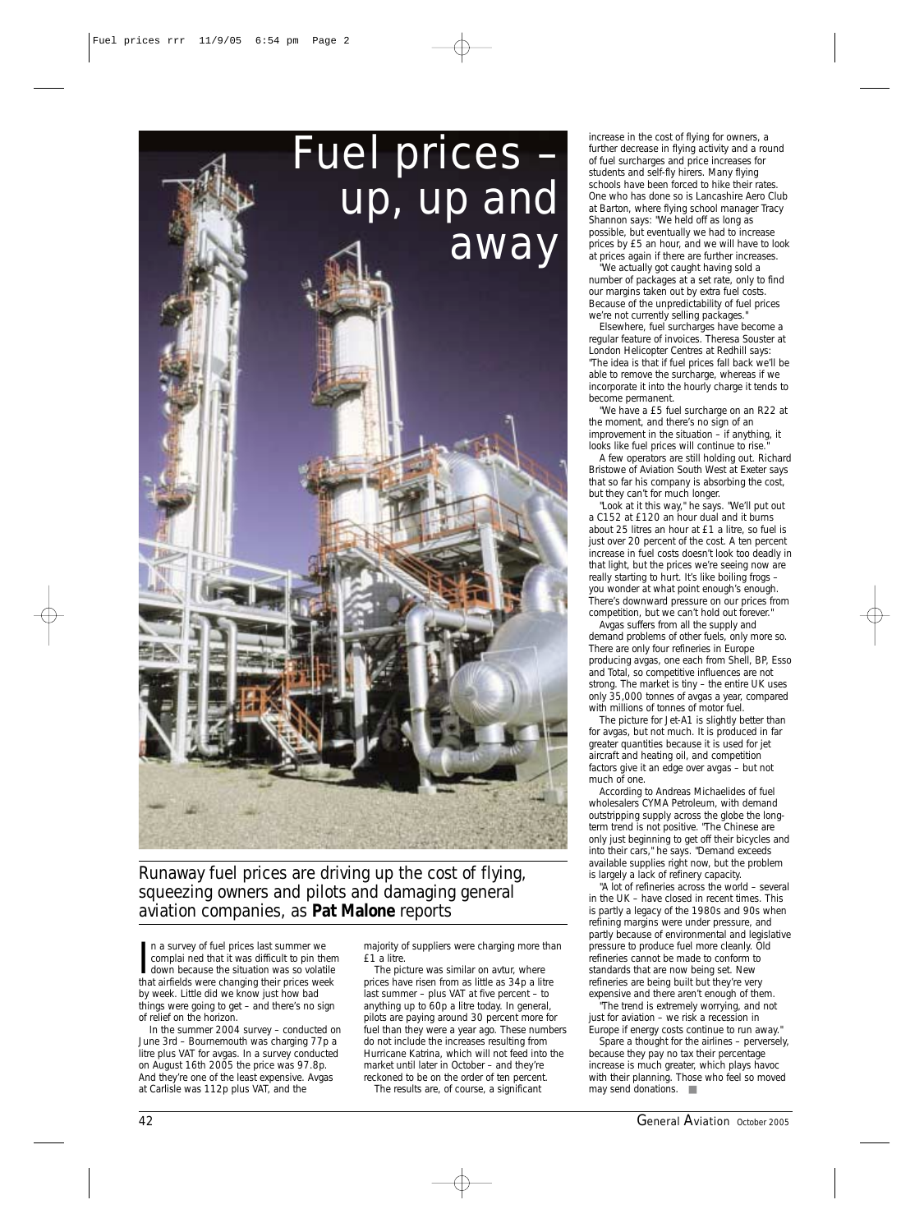

*Runaway fuel prices are driving up the cost of flying, squeezing owners and pilots and damaging general aviation companies, as Pat Malone reports*

In a survey of fuel prices last summer we<br>complai ned that it was difficult to pin ther<br>down because the situation was so volatile<br>that airfields were changing their prices week n a survey of fuel prices last summer we complai ned that it was difficult to pin them down because the situation was so volatile by week. Little did we know just how bad things were going to get – and there's no sign of relief on the horizon.

In the summer 2004 survey – conducted on June 3rd – Bournemouth was charging 77p a litre plus VAT for avgas. In a survey conducted on August 16th 2005 the price was 97.8p. And they're one of the least expensive. Avgas at Carlisle was 112p plus VAT, and the

majority of suppliers were charging more than £1 a litre.

The picture was similar on avtur, where prices have risen from as little as 34p a litre last summer – plus VAT at five percent – to anything up to 60p a litre today. In general, pilots are paying around 30 percent more for fuel than they were a year ago. These numbers do not include the increases resulting from Hurricane Katrina, which will not feed into the market until later in October – and they're reckoned to be on the order of ten percent.

The results are, of course, a significant

increase in the cost of flying for owners, a further decrease in flying activity and a round of fuel surcharges and price increases for students and self-fly hirers. Many flying schools have been forced to hike their rates. One who has done so is Lancashire Aero Club at Barton, where flying school manager Tracy Shannon says: "We held off as long as possible, but eventually we had to increase prices by £5 an hour, and we will have to look at prices again if there are further increases. "We actually got caught having sold a

number of packages at a set rate, only to find our margins taken out by extra fuel costs. Because of the unpredictability of fuel prices we're not currently selling packages.

Elsewhere, fuel surcharges have become a regular feature of invoices. Theresa Souster at London Helicopter Centres at Redhill says: "The idea is that if fuel prices fall back we'll be able to remove the surcharge, whereas if we incorporate it into the hourly charge it tends to become permanent.

"We have a £5 fuel surcharge on an R22 at the moment, and there's no sign of an improvement in the situation – if anything, it looks like fuel prices will continue to rise.

A few operators are still holding out. Richard Bristowe of Aviation South West at Exeter says that so far his company is absorbing the cost, but they can't for much longer.

"Look at it this way," he says. "We'll put out a C152 at £120 an hour dual and it burns about 25 litres an hour at £1 a litre, so fuel is just over 20 percent of the cost. A ten percent increase in fuel costs doesn't look too deadly in that light, but the prices we're seeing now are really starting to hurt. It's like boiling frogs you wonder at what point enough's enough. There's downward pressure on our prices from competition, but we can't hold out forever.

Avgas suffers from all the supply and demand problems of other fuels, only more so. There are only four refineries in Europe producing avgas, one each from Shell, BP, Esso and Total, so competitive influences are not strong. The market is tiny – the entire UK uses only 35,000 tonnes of avgas a year, compared with millions of tonnes of motor fuel.

The picture for Jet-A1 is slightly better than for avgas, but not much. It is produced in far greater quantities because it is used for jet aircraft and heating oil, and competition factors give it an edge over avgas – but not much of one.

According to Andreas Michaelides of fuel wholesalers CYMA Petroleum, with demand outstripping supply across the globe the longterm trend is not positive. "The Chinese are only just beginning to get off their bicycles and into their cars," he says. "Demand exceeds available supplies right now, but the problem is largely a lack of refinery capacity.

"A lot of refineries across the world – several in the UK – have closed in recent times. This is partly a legacy of the 1980s and 90s when refining margins were under pressure, and partly because of environmental and legislative pressure to produce fuel more cleanly. Old refineries cannot be made to conform to standards that are now being set. New refineries are being built but they're very expensive and there aren't enough of them.

"The trend is extremely worrying, and not just for aviation – we risk a recession in Europe if energy costs continue to run away.

Spare a thought for the airlines – perversely, because they pay no tax their percentage increase is much greater, which plays havoc with their planning. Those who feel so moved may send donations. ■